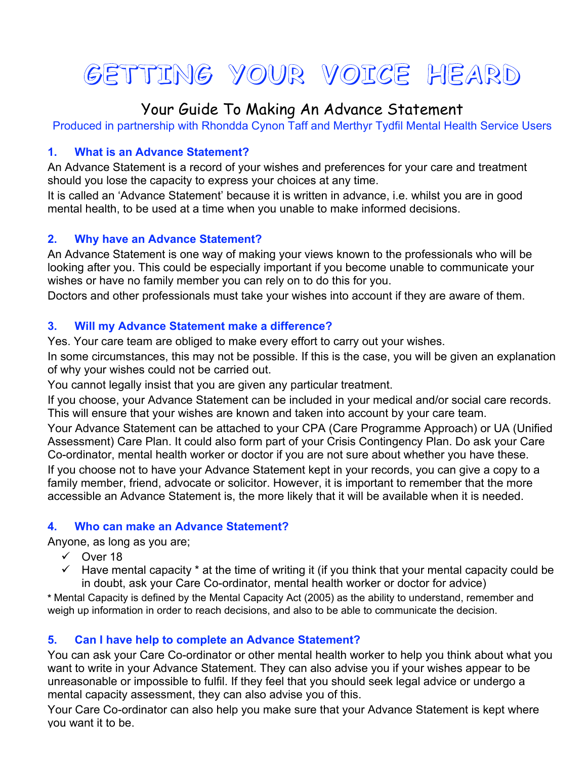# **GETTING YOUR VOICE HEARD**

# Your Guide To Making An Advance Statement

Produced in partnership with Rhondda Cynon Taff and Merthyr Tydfil Mental Health Service Users

### **1. What is an Advance Statement?**

An Advance Statement is a record of your wishes and preferences for your care and treatment should you lose the capacity to express your choices at any time.

It is called an 'Advance Statement' because it is written in advance, i.e. whilst you are in good mental health, to be used at a time when you unable to make informed decisions.

#### **2. Why have an Advance Statement?**

An Advance Statement is one way of making your views known to the professionals who will be looking after you. This could be especially important if you become unable to communicate your wishes or have no family member you can rely on to do this for you.

Doctors and other professionals must take your wishes into account if they are aware of them.

#### **3. Will my Advance Statement make a difference?**

Yes. Your care team are obliged to make every effort to carry out your wishes.

In some circumstances, this may not be possible. If this is the case, you will be given an explanation of why your wishes could not be carried out.

You cannot legally insist that you are given any particular treatment.

If you choose, your Advance Statement can be included in your medical and/or social care records. This will ensure that your wishes are known and taken into account by your care team.

Your Advance Statement can be attached to your CPA (Care Programme Approach) or UA (Unified Assessment) Care Plan. It could also form part of your Crisis Contingency Plan. Do ask your Care Co-ordinator, mental health worker or doctor if you are not sure about whether you have these. If you choose not to have your Advance Statement kept in your records, you can give a copy to a family member, friend, advocate or solicitor. However, it is important to remember that the more accessible an Advance Statement is, the more likely that it will be available when it is needed.

#### **4. Who can make an Advance Statement?**

Anyone, as long as you are;

- $\sqrt{}$  Over 18
- $\checkmark$  Have mental capacity  $*$  at the time of writing it (if you think that your mental capacity could be in doubt, ask your Care Co-ordinator, mental health worker or doctor for advice)

**\*** Mental Capacity is defined by the Mental Capacity Act (2005) as the ability to understand, remember and weigh up information in order to reach decisions, and also to be able to communicate the decision.

## **5. Can I have help to complete an Advance Statement?**

You can ask your Care Co-ordinator or other mental health worker to help you think about what you want to write in your Advance Statement. They can also advise you if your wishes appear to be unreasonable or impossible to fulfil. If they feel that you should seek legal advice or undergo a mental capacity assessment, they can also advise you of this.

Your Care Co-ordinator can also help you make sure that your Advance Statement is kept where you want it to be.